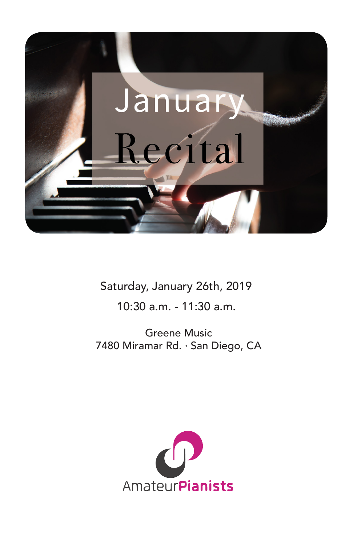

Saturday, January 26th, 2019

10:30 a.m. - 11:30 a.m.

Greene Music 7480 Miramar Rd. · San Diego, CA

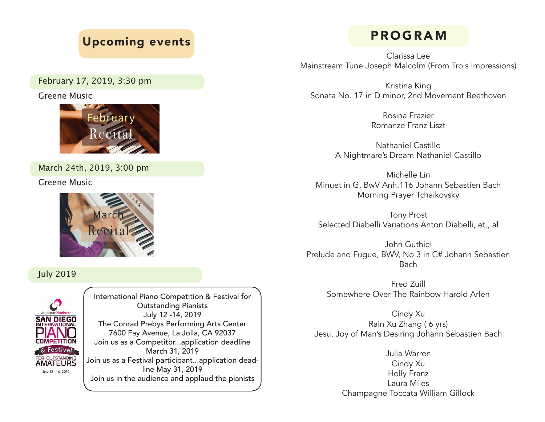# Upcoming events

February 17, 2019, 3:30 pm

Greene Music



March 24th, 2019, 3:00 pm

Greene Music



July 2019



International Piano Competition & Festival for Outstanding Pianists July 12 -14, 2019 The Conrad Prebys Performing Arts Center 7600 Fay Avenue, La Jolla, CA 92037 Join us as a Competitor...application deadline March 31, 2019 Join us as a Festival participant...application deadline May 31, 2019 Join us in the audience and applaud the pianists

# PROGRAM

Clarissa Lee Mainstream Tune Joseph Malcolm (From Trois Impressions)

Kristina King Sonata No. 17 in D minor, 2nd Movement Beethoven

> Rosina Frazier Romanze Franz Liszt

Nathaniel Castillo A Nightmare's Dream Nathaniel Castillo

Michelle Lin Minuet in G, BwV Anh.116 Johann Sebastien Bach Morning Prayer Tchaikovsky

Tony Prost Selected Diabelli Variations Anton Diabelli, et., al

John Guthiel Prelude and Fugue, BWV, No 3 in C# Johann Sebastien Bach

> Fred Zuill Somewhere Over The Rainbow Harold Arlen

Cindy Xu Rain Xu Zhang ( 6 yrs) Jesu, Joy of Man's Desiring Johann Sebastien Bach

> Julia Warren Cindy Xu Holly Franz Laura Miles Champagne Toccata William Gillock